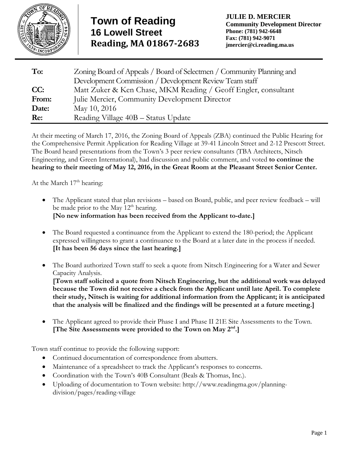

| To:   | Zoning Board of Appeals / Board of Selectmen / Community Planning and |
|-------|-----------------------------------------------------------------------|
|       | Development Commission / Development Review Team staff                |
| CC:   | Matt Zuker & Ken Chase, MKM Reading / Geoff Engler, consultant        |
| From: | Julie Mercier, Community Development Director                         |
| Date: | May 10, 2016                                                          |
| Re:   | Reading Village 40B - Status Update                                   |

At their meeting of March 17, 2016, the Zoning Board of Appeals (ZBA) continued the Public Hearing for the Comprehensive Permit Application for Reading Village at 39-41 Lincoln Street and 2-12 Prescott Street. The Board heard presentations from the Town's 3 peer review consultants (TBA Architects, Nitsch Engineering, and Green International), had discussion and public comment, and voted **to continue the hearing to their meeting of May 12, 2016, in the Great Room at the Pleasant Street Senior Center.** 

At the March  $17<sup>th</sup>$  hearing:

- The Applicant stated that plan revisions based on Board, public, and peer review feedback will be made prior to the May  $12<sup>th</sup>$  hearing. **[No new information has been received from the Applicant to-date.]**
- The Board requested a continuance from the Applicant to extend the 180-period; the Applicant expressed willingness to grant a continuance to the Board at a later date in the process if needed. **[It has been 56 days since the last hearing.]**
- The Board authorized Town staff to seek a quote from Nitsch Engineering for a Water and Sewer Capacity Analysis.

**[Town staff solicited a quote from Nitsch Engineering, but the additional work was delayed because the Town did not receive a check from the Applicant until late April. To complete their study, Nitsch is waiting for additional information from the Applicant; it is anticipated that the analysis will be finalized and the findings will be presented at a future meeting.]**

 The Applicant agreed to provide their Phase I and Phase II 21E Site Assessments to the Town. **[The Site Assessments were provided to the Town on May 2nd.]**

Town staff continue to provide the following support:

- Continued documentation of correspondence from abutters.
- Maintenance of a spreadsheet to track the Applicant's responses to concerns.
- Coordination with the Town's 40B Consultant (Beals & Thomas, Inc.).
- Uploading of documentation to Town website: http://www.readingma.gov/planningdivision/pages/reading-village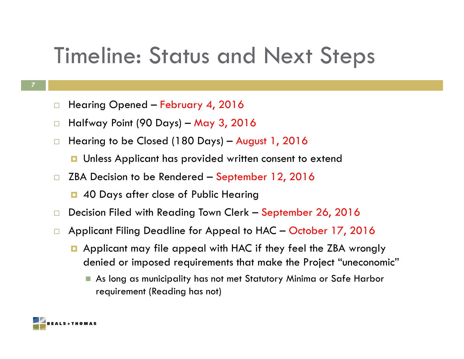## Timeline: Status and Next Steps

- **7**
- $\Box$ Hearing Opened – February 4, 2016
- $\Box$ Halfway Point (90 Days) – May 3, 2016
- $\Box$  Hearing to be Closed (180 Days) – August 1, 2016
	- **<u>n</u>** Unless Applicant has provided written consent to extend
- $\Box$  ZBA Decision to be Rendered – September 12, 2016
	- **0** 40 Days after close of Public Hearing
- $\Box$ Decision Filed with Reading Town Clerk – September 26, 2016
- a a s Applicant Filing Deadline for Appeal to HAC – October 17, 2016
	- **E** Applicant may file appeal with HAC if they feel the ZBA wrongly denied or imposed requirements that make the Project "uneconomic"
		- As long as municipality has not met Statutory Minima or Safe Harbor requirement (Reading has not)